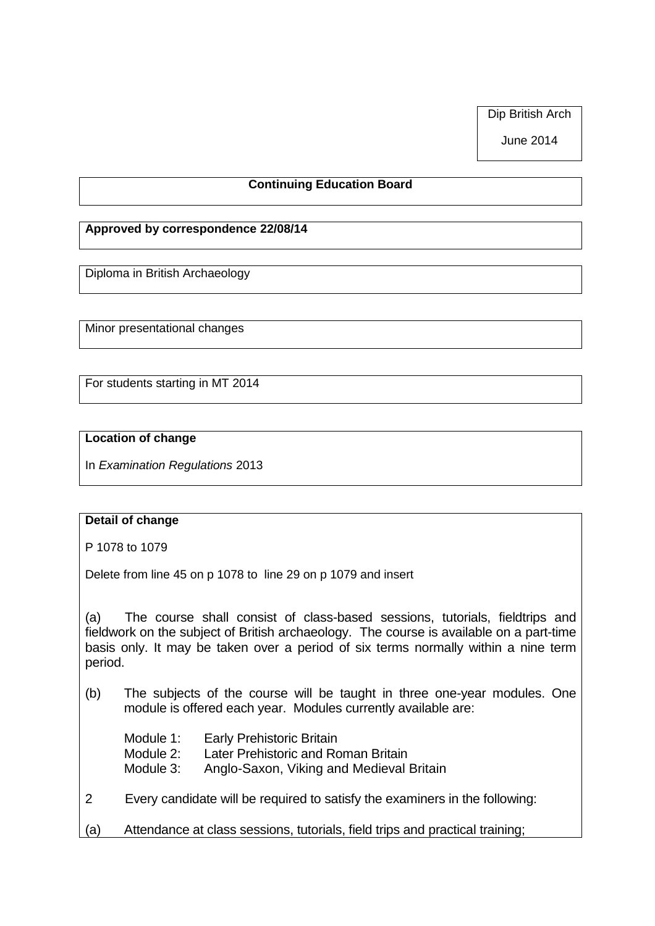Dip British Arch

June 2014

## **Continuing Education Board**

## **Approved by correspondence 22/08/14**

Diploma in British Archaeology

Minor presentational changes

For students starting in MT 2014

## **Location of change**

In *Examination Regulations* 2013

## **Detail of change**

P 1078 to 1079

Delete from line 45 on p 1078 to line 29 on p 1079 and insert

(a) The course shall consist of class-based sessions, tutorials, fieldtrips and fieldwork on the subject of British archaeology. The course is available on a part-time basis only. It may be taken over a period of six terms normally within a nine term period.

- (b) The subjects of the course will be taught in three one-year modules. One module is offered each year. Modules currently available are:
	- Module 1: Early Prehistoric Britain
	- Module 2: Later Prehistoric and Roman Britain
	- Module 3: Anglo-Saxon, Viking and Medieval Britain
- 2 Every candidate will be required to satisfy the examiners in the following:
- (a) Attendance at class sessions, tutorials, field trips and practical training;